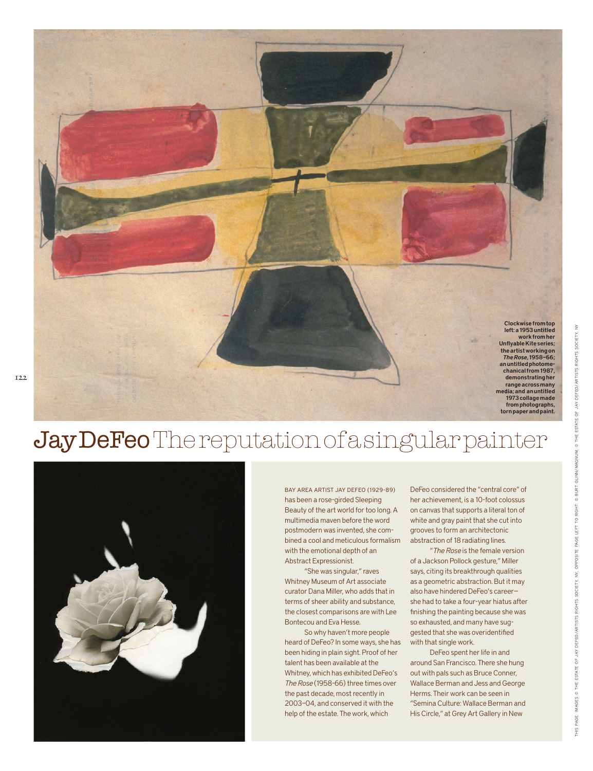



Bay Area artist Jay DeFeo (1929-89) has been a rose-girded Sleeping Beauty of the art world for too long. A multimedia maven before the word postmodern was invented, she combined a cool and meticulous formalism with the emotional depth of an Abstract Expressionist.

"She was singular," raves Whitney Museum of Art associate curator Dana Miller, who adds that in terms of sheer ability and substance, the closest comparisons are with Lee Bontecou and Eva Hesse.

So why haven't more people heard of DeFeo? In some ways, she has been hiding in plain sight. Proof of her talent has been available at the Whitney, which has exhibited DeFeo's *The Rose* (1958-66) three times over the past decade, most recently in 2003–04, and conserved it with the help of the estate. The work, which

DeFeo considered the "central core" of her achievement, is a 10-foot colossus on canvas that supports a literal ton of white and gray paint that she cut into grooves to form an architectonic abstraction of 18 radiating lines.

"*The Rose* is the female version of a Jackson Pollock gesture," Miller says, citing its breakthrough qualities as a geometric abstraction. But it may also have hindered DeFeo's career she had to take a four-year hiatus after finishing the painting because she was so exhausted, and many have suggested that she was overidentified with that single work.

DeFeo spent her life in and around San Francisco. There she hung out with pals such as Bruce Conner, Wallace Berman and Jess and George Herms. Their work can be seen in "Semina Culture: Wallace Berman and His Circle," at Grey Art Gallery in New